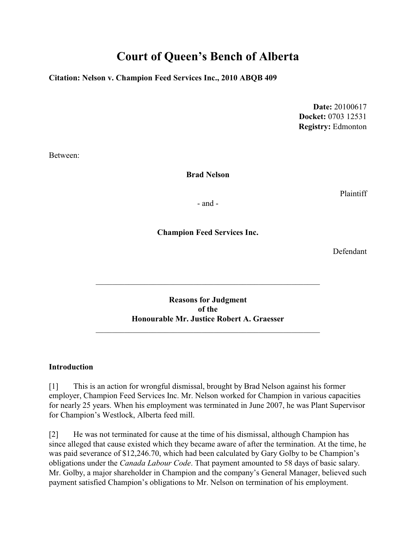# **Court of Queen's Bench of Alberta**

**Citation: Nelson v. Champion Feed Services Inc., 2010 ABQB 409**

**Date:** 20100617 **Docket:** 0703 12531 **Registry:** Edmonton

Between:

**Brad Nelson**

Plaintiff

- and -

**Champion Feed Services Inc.**

Defendant

**Reasons for Judgment of the Honourable Mr. Justice Robert A. Graesser**

\_\_\_\_\_\_\_\_\_\_\_\_\_\_\_\_\_\_\_\_\_\_\_\_\_\_\_\_\_\_\_\_\_\_\_\_\_\_\_\_\_\_\_\_\_\_\_\_\_\_\_\_\_\_\_

#### **Introduction**

[1] This is an action for wrongful dismissal, brought by Brad Nelson against his former employer, Champion Feed Services Inc. Mr. Nelson worked for Champion in various capacities for nearly 25 years. When his employment was terminated in June 2007, he was Plant Supervisor for Champion's Westlock, Alberta feed mill.

[2] He was not terminated for cause at the time of his dismissal, although Champion has since alleged that cause existed which they became aware of after the termination. At the time, he was paid severance of \$12,246.70, which had been calculated by Gary Golby to be Champion's obligations under the *Canada Labour Code*. That payment amounted to 58 days of basic salary. Mr. Golby, a major shareholder in Champion and the company's General Manager, believed such payment satisfied Champion's obligations to Mr. Nelson on termination of his employment.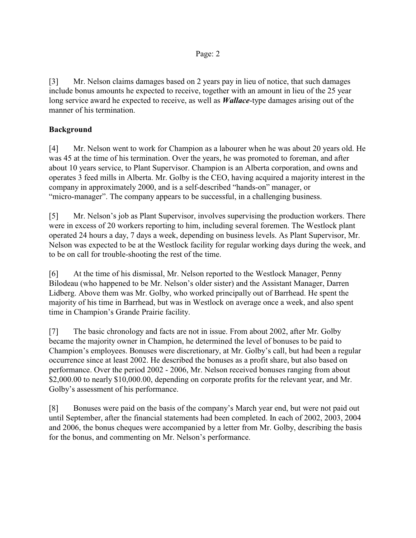[3] Mr. Nelson claims damages based on 2 years pay in lieu of notice, that such damages include bonus amounts he expected to receive, together with an amount in lieu of the 25 year long service award he expected to receive, as well as *Wallace*-type damages arising out of the manner of his termination.

# **Background**

[4] Mr. Nelson went to work for Champion as a labourer when he was about 20 years old. He was 45 at the time of his termination. Over the years, he was promoted to foreman, and after about 10 years service, to Plant Supervisor. Champion is an Alberta corporation, and owns and operates 3 feed mills in Alberta. Mr. Golby is the CEO, having acquired a majority interest in the company in approximately 2000, and is a self-described "hands-on" manager, or "micro-manager". The company appears to be successful, in a challenging business.

[5] Mr. Nelson's job as Plant Supervisor, involves supervising the production workers. There were in excess of 20 workers reporting to him, including several foremen. The Westlock plant operated 24 hours a day, 7 days a week, depending on business levels. As Plant Supervisor, Mr. Nelson was expected to be at the Westlock facility for regular working days during the week, and to be on call for trouble-shooting the rest of the time.

[6] At the time of his dismissal, Mr. Nelson reported to the Westlock Manager, Penny Bilodeau (who happened to be Mr. Nelson's older sister) and the Assistant Manager, Darren Lidberg. Above them was Mr. Golby, who worked principally out of Barrhead. He spent the majority of his time in Barrhead, but was in Westlock on average once a week, and also spent time in Champion's Grande Prairie facility.

[7] The basic chronology and facts are not in issue. From about 2002, after Mr. Golby became the majority owner in Champion, he determined the level of bonuses to be paid to Champion's employees. Bonuses were discretionary, at Mr. Golby's call, but had been a regular occurrence since at least 2002. He described the bonuses as a profit share, but also based on performance. Over the period 2002 - 2006, Mr. Nelson received bonuses ranging from about \$2,000.00 to nearly \$10,000.00, depending on corporate profits for the relevant year, and Mr. Golby's assessment of his performance.

[8] Bonuses were paid on the basis of the company's March year end, but were not paid out until September, after the financial statements had been completed. In each of 2002, 2003, 2004 and 2006, the bonus cheques were accompanied by a letter from Mr. Golby, describing the basis for the bonus, and commenting on Mr. Nelson's performance.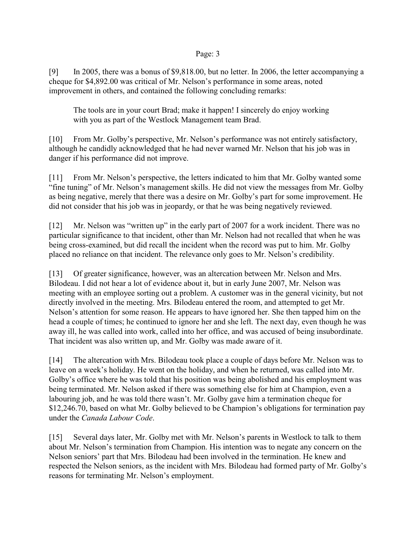[9] In 2005, there was a bonus of \$9,818.00, but no letter. In 2006, the letter accompanying a cheque for \$4,892.00 was critical of Mr. Nelson's performance in some areas, noted improvement in others, and contained the following concluding remarks:

The tools are in your court Brad; make it happen! I sincerely do enjoy working with you as part of the Westlock Management team Brad.

[10] From Mr. Golby's perspective, Mr. Nelson's performance was not entirely satisfactory, although he candidly acknowledged that he had never warned Mr. Nelson that his job was in danger if his performance did not improve.

[11] From Mr. Nelson's perspective, the letters indicated to him that Mr. Golby wanted some "fine tuning" of Mr. Nelson's management skills. He did not view the messages from Mr. Golby as being negative, merely that there was a desire on Mr. Golby's part for some improvement. He did not consider that his job was in jeopardy, or that he was being negatively reviewed.

[12] Mr. Nelson was "written up" in the early part of 2007 for a work incident. There was no particular significance to that incident, other than Mr. Nelson had not recalled that when he was being cross-examined, but did recall the incident when the record was put to him. Mr. Golby placed no reliance on that incident. The relevance only goes to Mr. Nelson's credibility.

[13] Of greater significance, however, was an altercation between Mr. Nelson and Mrs. Bilodeau. I did not hear a lot of evidence about it, but in early June 2007, Mr. Nelson was meeting with an employee sorting out a problem. A customer was in the general vicinity, but not directly involved in the meeting. Mrs. Bilodeau entered the room, and attempted to get Mr. Nelson's attention for some reason. He appears to have ignored her. She then tapped him on the head a couple of times; he continued to ignore her and she left. The next day, even though he was away ill, he was called into work, called into her office, and was accused of being insubordinate. That incident was also written up, and Mr. Golby was made aware of it.

[14] The altercation with Mrs. Bilodeau took place a couple of days before Mr. Nelson was to leave on a week's holiday. He went on the holiday, and when he returned, was called into Mr. Golby's office where he was told that his position was being abolished and his employment was being terminated. Mr. Nelson asked if there was something else for him at Champion, even a labouring job, and he was told there wasn't. Mr. Golby gave him a termination cheque for \$12,246.70, based on what Mr. Golby believed to be Champion's obligations for termination pay under the *Canada Labour Code*.

[15] Several days later, Mr. Golby met with Mr. Nelson's parents in Westlock to talk to them about Mr. Nelson's termination from Champion. His intention was to negate any concern on the Nelson seniors' part that Mrs. Bilodeau had been involved in the termination. He knew and respected the Nelson seniors, as the incident with Mrs. Bilodeau had formed party of Mr. Golby's reasons for terminating Mr. Nelson's employment.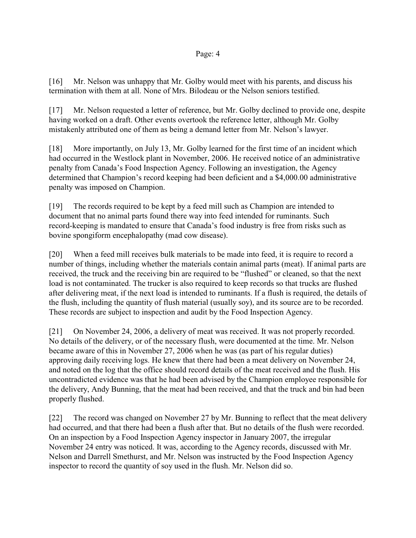[16] Mr. Nelson was unhappy that Mr. Golby would meet with his parents, and discuss his termination with them at all. None of Mrs. Bilodeau or the Nelson seniors testified.

[17] Mr. Nelson requested a letter of reference, but Mr. Golby declined to provide one, despite having worked on a draft. Other events overtook the reference letter, although Mr. Golby mistakenly attributed one of them as being a demand letter from Mr. Nelson's lawyer.

[18] More importantly, on July 13, Mr. Golby learned for the first time of an incident which had occurred in the Westlock plant in November, 2006. He received notice of an administrative penalty from Canada's Food Inspection Agency. Following an investigation, the Agency determined that Champion's record keeping had been deficient and a \$4,000.00 administrative penalty was imposed on Champion.

[19] The records required to be kept by a feed mill such as Champion are intended to document that no animal parts found there way into feed intended for ruminants. Such record-keeping is mandated to ensure that Canada's food industry is free from risks such as bovine spongiform encephalopathy (mad cow disease).

[20] When a feed mill receives bulk materials to be made into feed, it is require to record a number of things, including whether the materials contain animal parts (meat). If animal parts are received, the truck and the receiving bin are required to be "flushed" or cleaned, so that the next load is not contaminated. The trucker is also required to keep records so that trucks are flushed after delivering meat, if the next load is intended to ruminants. If a flush is required, the details of the flush, including the quantity of flush material (usually soy), and its source are to be recorded. These records are subject to inspection and audit by the Food Inspection Agency.

[21] On November 24, 2006, a delivery of meat was received. It was not properly recorded. No details of the delivery, or of the necessary flush, were documented at the time. Mr. Nelson became aware of this in November 27, 2006 when he was (as part of his regular duties) approving daily receiving logs. He knew that there had been a meat delivery on November 24, and noted on the log that the office should record details of the meat received and the flush. His uncontradicted evidence was that he had been advised by the Champion employee responsible for the delivery, Andy Bunning, that the meat had been received, and that the truck and bin had been properly flushed.

[22] The record was changed on November 27 by Mr. Bunning to reflect that the meat delivery had occurred, and that there had been a flush after that. But no details of the flush were recorded. On an inspection by a Food Inspection Agency inspector in January 2007, the irregular November 24 entry was noticed. It was, according to the Agency records, discussed with Mr. Nelson and Darrell Smethurst, and Mr. Nelson was instructed by the Food Inspection Agency inspector to record the quantity of soy used in the flush. Mr. Nelson did so.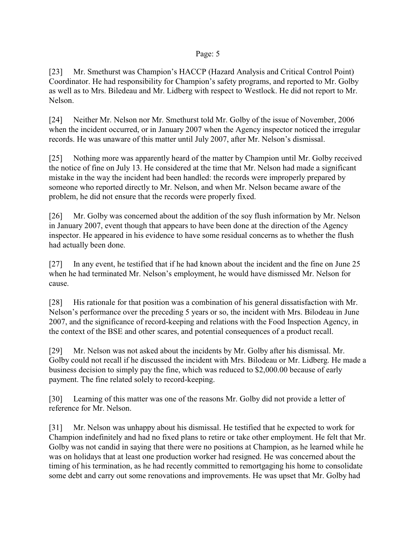[23] Mr. Smethurst was Champion's HACCP (Hazard Analysis and Critical Control Point) Coordinator. He had responsibility for Champion's safety programs, and reported to Mr. Golby as well as to Mrs. Biledeau and Mr. Lidberg with respect to Westlock. He did not report to Mr. Nelson.

[24] Neither Mr. Nelson nor Mr. Smethurst told Mr. Golby of the issue of November, 2006 when the incident occurred, or in January 2007 when the Agency inspector noticed the irregular records. He was unaware of this matter until July 2007, after Mr. Nelson's dismissal.

[25] Nothing more was apparently heard of the matter by Champion until Mr. Golby received the notice of fine on July 13. He considered at the time that Mr. Nelson had made a significant mistake in the way the incident had been handled: the records were improperly prepared by someone who reported directly to Mr. Nelson, and when Mr. Nelson became aware of the problem, he did not ensure that the records were properly fixed.

[26] Mr. Golby was concerned about the addition of the soy flush information by Mr. Nelson in January 2007, event though that appears to have been done at the direction of the Agency inspector. He appeared in his evidence to have some residual concerns as to whether the flush had actually been done.

[27] In any event, he testified that if he had known about the incident and the fine on June 25 when he had terminated Mr. Nelson's employment, he would have dismissed Mr. Nelson for cause.

[28] His rationale for that position was a combination of his general dissatisfaction with Mr. Nelson's performance over the preceding 5 years or so, the incident with Mrs. Bilodeau in June 2007, and the significance of record-keeping and relations with the Food Inspection Agency, in the context of the BSE and other scares, and potential consequences of a product recall.

[29] Mr. Nelson was not asked about the incidents by Mr. Golby after his dismissal. Mr. Golby could not recall if he discussed the incident with Mrs. Bilodeau or Mr. Lidberg. He made a business decision to simply pay the fine, which was reduced to \$2,000.00 because of early payment. The fine related solely to record-keeping.

[30] Learning of this matter was one of the reasons Mr. Golby did not provide a letter of reference for Mr. Nelson.

[31] Mr. Nelson was unhappy about his dismissal. He testified that he expected to work for Champion indefinitely and had no fixed plans to retire or take other employment. He felt that Mr. Golby was not candid in saying that there were no positions at Champion, as he learned while he was on holidays that at least one production worker had resigned. He was concerned about the timing of his termination, as he had recently committed to remortgaging his home to consolidate some debt and carry out some renovations and improvements. He was upset that Mr. Golby had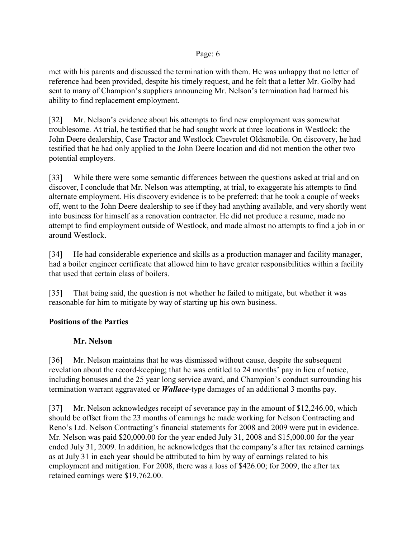met with his parents and discussed the termination with them. He was unhappy that no letter of reference had been provided, despite his timely request, and he felt that a letter Mr. Golby had sent to many of Champion's suppliers announcing Mr. Nelson's termination had harmed his ability to find replacement employment.

[32] Mr. Nelson's evidence about his attempts to find new employment was somewhat troublesome. At trial, he testified that he had sought work at three locations in Westlock: the John Deere dealership, Case Tractor and Westlock Chevrolet Oldsmobile. On discovery, he had testified that he had only applied to the John Deere location and did not mention the other two potential employers.

[33] While there were some semantic differences between the questions asked at trial and on discover, I conclude that Mr. Nelson was attempting, at trial, to exaggerate his attempts to find alternate employment. His discovery evidence is to be preferred: that he took a couple of weeks off, went to the John Deere dealership to see if they had anything available, and very shortly went into business for himself as a renovation contractor. He did not produce a resume, made no attempt to find employment outside of Westlock, and made almost no attempts to find a job in or around Westlock.

[34] He had considerable experience and skills as a production manager and facility manager, had a boiler engineer certificate that allowed him to have greater responsibilities within a facility that used that certain class of boilers.

[35] That being said, the question is not whether he failed to mitigate, but whether it was reasonable for him to mitigate by way of starting up his own business.

# **Positions of the Parties**

# **Mr. Nelson**

[36] Mr. Nelson maintains that he was dismissed without cause, despite the subsequent revelation about the record-keeping; that he was entitled to 24 months' pay in lieu of notice, including bonuses and the 25 year long service award, and Champion's conduct surrounding his termination warrant aggravated or *Wallace*-type damages of an additional 3 months pay.

[37] Mr. Nelson acknowledges receipt of severance pay in the amount of \$12,246.00, which should be offset from the 23 months of earnings he made working for Nelson Contracting and Reno's Ltd. Nelson Contracting's financial statements for 2008 and 2009 were put in evidence. Mr. Nelson was paid \$20,000.00 for the year ended July 31, 2008 and \$15,000.00 for the year ended July 31, 2009. In addition, he acknowledges that the company's after tax retained earnings as at July 31 in each year should be attributed to him by way of earnings related to his employment and mitigation. For 2008, there was a loss of \$426.00; for 2009, the after tax retained earnings were \$19,762.00.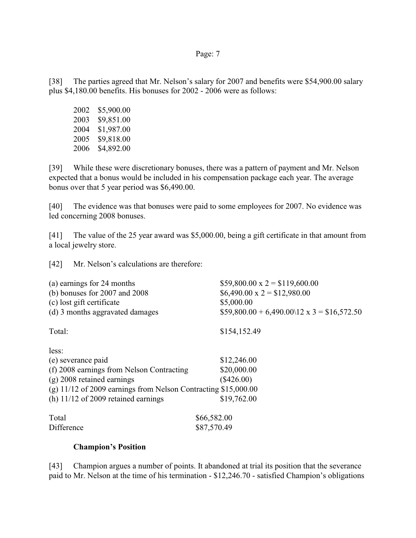[38] The parties agreed that Mr. Nelson's salary for 2007 and benefits were \$54,900.00 salary plus \$4,180.00 benefits. His bonuses for 2002 - 2006 were as follows:

| 2002 | \$5,900.00 |
|------|------------|
| 2003 | \$9,851.00 |
| 2004 | \$1,987.00 |
| 2005 | \$9,818.00 |
| 2006 | \$4,892.00 |

[39] While these were discretionary bonuses, there was a pattern of payment and Mr. Nelson expected that a bonus would be included in his compensation package each year. The average bonus over that 5 year period was \$6,490.00.

[40] The evidence was that bonuses were paid to some employees for 2007. No evidence was led concerning 2008 bonuses.

[41] The value of the 25 year award was \$5,000.00, being a gift certificate in that amount from a local jewelry store.

[42] Mr. Nelson's calculations are therefore:

| (a) earnings for 24 months                                                                                                                                                                                            | $$59,800.00 \text{ x } 2 = $119,600.00$                   |
|-----------------------------------------------------------------------------------------------------------------------------------------------------------------------------------------------------------------------|-----------------------------------------------------------|
| (b) bonuses for $2007$ and $2008$                                                                                                                                                                                     | $$6,490.00 \text{ x } 2 = $12,980.00$                     |
| (c) lost gift certificate                                                                                                                                                                                             | \$5,000.00                                                |
| (d) 3 months aggravated damages                                                                                                                                                                                       | $$59,800.00 + 6,490.00 \12 \text{ x } 3 = $16,572.50$     |
| Total:                                                                                                                                                                                                                | \$154,152.49                                              |
| less:<br>(e) severance paid<br>(f) 2008 earnings from Nelson Contracting<br>$(g)$ 2008 retained earnings<br>(g) $11/12$ of 2009 earnings from Nelson Contracting \$15,000.00<br>(h) $11/12$ of 2009 retained earnings | \$12,246.00<br>\$20,000.00<br>$(\$426.00)$<br>\$19,762.00 |
| Total                                                                                                                                                                                                                 | \$66,582.00                                               |
| Difference                                                                                                                                                                                                            | \$87,570.49                                               |

#### **Champion's Position**

[43] Champion argues a number of points. It abandoned at trial its position that the severance paid to Mr. Nelson at the time of his termination - \$12,246.70 - satisfied Champion's obligations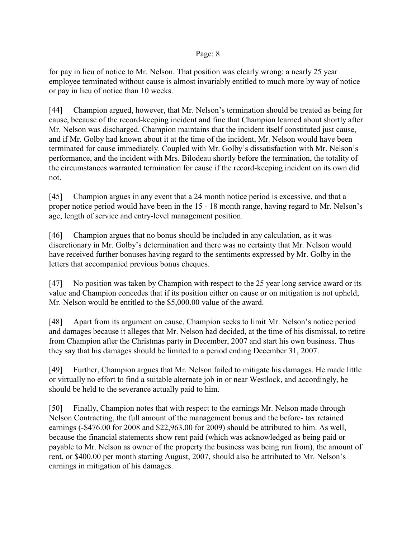for pay in lieu of notice to Mr. Nelson. That position was clearly wrong: a nearly 25 year employee terminated without cause is almost invariably entitled to much more by way of notice or pay in lieu of notice than 10 weeks.

[44] Champion argued, however, that Mr. Nelson's termination should be treated as being for cause, because of the record-keeping incident and fine that Champion learned about shortly after Mr. Nelson was discharged. Champion maintains that the incident itself constituted just cause, and if Mr. Golby had known about it at the time of the incident, Mr. Nelson would have been terminated for cause immediately. Coupled with Mr. Golby's dissatisfaction with Mr. Nelson's performance, and the incident with Mrs. Bilodeau shortly before the termination, the totality of the circumstances warranted termination for cause if the record-keeping incident on its own did not.

[45] Champion argues in any event that a 24 month notice period is excessive, and that a proper notice period would have been in the 15 - 18 month range, having regard to Mr. Nelson's age, length of service and entry-level management position.

[46] Champion argues that no bonus should be included in any calculation, as it was discretionary in Mr. Golby's determination and there was no certainty that Mr. Nelson would have received further bonuses having regard to the sentiments expressed by Mr. Golby in the letters that accompanied previous bonus cheques.

[47] No position was taken by Champion with respect to the 25 year long service award or its value and Champion concedes that if its position either on cause or on mitigation is not upheld, Mr. Nelson would be entitled to the \$5,000.00 value of the award.

[48] Apart from its argument on cause, Champion seeks to limit Mr. Nelson's notice period and damages because it alleges that Mr. Nelson had decided, at the time of his dismissal, to retire from Champion after the Christmas party in December, 2007 and start his own business. Thus they say that his damages should be limited to a period ending December 31, 2007.

[49] Further, Champion argues that Mr. Nelson failed to mitigate his damages. He made little or virtually no effort to find a suitable alternate job in or near Westlock, and accordingly, he should be held to the severance actually paid to him.

[50] Finally, Champion notes that with respect to the earnings Mr. Nelson made through Nelson Contracting, the full amount of the management bonus and the before- tax retained earnings (-\$476.00 for 2008 and \$22,963.00 for 2009) should be attributed to him. As well, because the financial statements show rent paid (which was acknowledged as being paid or payable to Mr. Nelson as owner of the property the business was being run from), the amount of rent, or \$400.00 per month starting August, 2007, should also be attributed to Mr. Nelson's earnings in mitigation of his damages.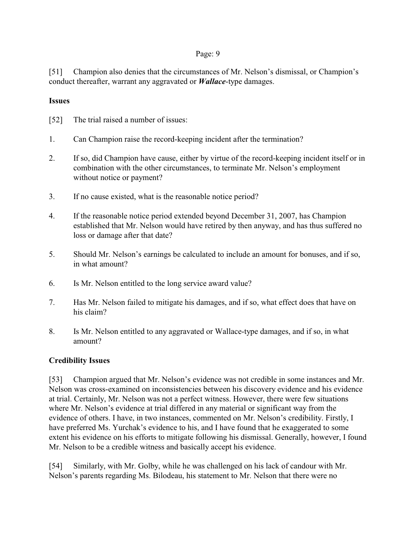[51] Champion also denies that the circumstances of Mr. Nelson's dismissal, or Champion's conduct thereafter, warrant any aggravated or *Wallace*-type damages.

# **Issues**

- [52] The trial raised a number of issues:
- 1. Can Champion raise the record-keeping incident after the termination?
- 2. If so, did Champion have cause, either by virtue of the record-keeping incident itself or in combination with the other circumstances, to terminate Mr. Nelson's employment without notice or payment?
- 3. If no cause existed, what is the reasonable notice period?
- 4. If the reasonable notice period extended beyond December 31, 2007, has Champion established that Mr. Nelson would have retired by then anyway, and has thus suffered no loss or damage after that date?
- 5. Should Mr. Nelson's earnings be calculated to include an amount for bonuses, and if so, in what amount?
- 6. Is Mr. Nelson entitled to the long service award value?
- 7. Has Mr. Nelson failed to mitigate his damages, and if so, what effect does that have on his claim?
- 8. Is Mr. Nelson entitled to any aggravated or Wallace-type damages, and if so, in what amount?

# **Credibility Issues**

[53] Champion argued that Mr. Nelson's evidence was not credible in some instances and Mr. Nelson was cross-examined on inconsistencies between his discovery evidence and his evidence at trial. Certainly, Mr. Nelson was not a perfect witness. However, there were few situations where Mr. Nelson's evidence at trial differed in any material or significant way from the evidence of others. I have, in two instances, commented on Mr. Nelson's credibility. Firstly, I have preferred Ms. Yurchak's evidence to his, and I have found that he exaggerated to some extent his evidence on his efforts to mitigate following his dismissal. Generally, however, I found Mr. Nelson to be a credible witness and basically accept his evidence.

[54] Similarly, with Mr. Golby, while he was challenged on his lack of candour with Mr. Nelson's parents regarding Ms. Bilodeau, his statement to Mr. Nelson that there were no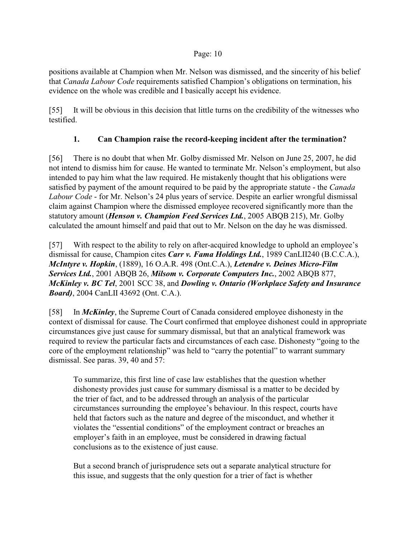positions available at Champion when Mr. Nelson was dismissed, and the sincerity of his belief that *Canada Labour Code* requirements satisfied Champion's obligations on termination, his evidence on the whole was credible and I basically accept his evidence.

[55] It will be obvious in this decision that little turns on the credibility of the witnesses who testified.

# **1. Can Champion raise the record-keeping incident after the termination?**

[56] There is no doubt that when Mr. Golby dismissed Mr. Nelson on June 25, 2007, he did not intend to dismiss him for cause. He wanted to terminate Mr. Nelson's employment, but also intended to pay him what the law required. He mistakenly thought that his obligations were satisfied by payment of the amount required to be paid by the appropriate statute - the *Canada Labour Code* - for Mr. Nelson's 24 plus years of service. Despite an earlier wrongful dismissal claim against Champion where the dismissed employee recovered significantly more than the statutory amount (*Henson v. Champion Feed Services Ltd.*, 2005 ABQB 215), Mr. Golby calculated the amount himself and paid that out to Mr. Nelson on the day he was dismissed.

[57] With respect to the ability to rely on after-acquired knowledge to uphold an employee's dismissal for cause, Champion cites *Carr v. Fama Holdings Ltd.*, 1989 CanLII240 (B.C.C.A.), *McIntyre v. Hopkin*, (1889), 16 O.A.R. 498 (Ont.C.A.), *Letendre v. Deines Micro-Film Services Ltd.*, 2001 ABQB 26, *Milsom v. Corporate Computers Inc.*, 2002 ABQB 877, *McKinley v. BC Tel*, 2001 SCC 38, and *Dowling v. Ontario (Workplace Safety and Insurance Board)*, 2004 CanLII 43692 (Ont. C.A.).

[58] In *McKinley*, the Supreme Court of Canada considered employee dishonesty in the context of dismissal for cause. The Court confirmed that employee dishonest could in appropriate circumstances give just cause for summary dismissal, but that an analytical framework was required to review the particular facts and circumstances of each case. Dishonesty "going to the core of the employment relationship" was held to "carry the potential" to warrant summary dismissal. See paras. 39, 40 and 57:

To summarize, this first line of case law establishes that the question whether dishonesty provides just cause for summary dismissal is a matter to be decided by the trier of fact, and to be addressed through an analysis of the particular circumstances surrounding the employee's behaviour. In this respect, courts have held that factors such as the nature and degree of the misconduct, and whether it violates the "essential conditions" of the employment contract or breaches an employer's faith in an employee, must be considered in drawing factual conclusions as to the existence of just cause.

But a second branch of jurisprudence sets out a separate analytical structure for this issue, and suggests that the only question for a trier of fact is whether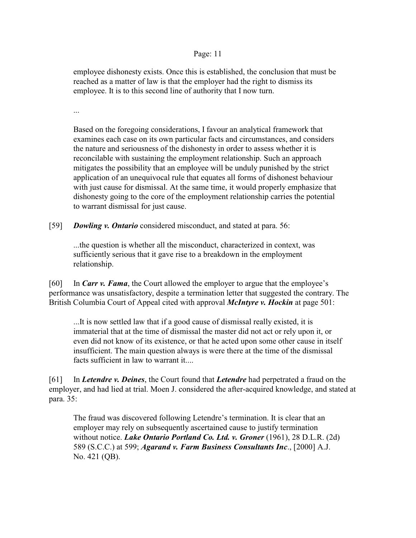employee dishonesty exists. Once this is established, the conclusion that must be reached as a matter of law is that the employer had the right to dismiss its employee. It is to this second line of authority that I now turn.

...

Based on the foregoing considerations, I favour an analytical framework that examines each case on its own particular facts and circumstances, and considers the nature and seriousness of the dishonesty in order to assess whether it is reconcilable with sustaining the employment relationship. Such an approach mitigates the possibility that an employee will be unduly punished by the strict application of an unequivocal rule that equates all forms of dishonest behaviour with just cause for dismissal. At the same time, it would properly emphasize that dishonesty going to the core of the employment relationship carries the potential to warrant dismissal for just cause.

[59] *Dowling v. Ontario* considered misconduct, and stated at para. 56:

...the question is whether all the misconduct, characterized in context, was sufficiently serious that it gave rise to a breakdown in the employment relationship.

[60] In *Carr v. Fama*, the Court allowed the employer to argue that the employee's performance was unsatisfactory, despite a termination letter that suggested the contrary. The British Columbia Court of Appeal cited with approval *McIntyre v. Hockin* at page 501:

...It is now settled law that if a good cause of dismissal really existed, it is immaterial that at the time of dismissal the master did not act or rely upon it, or even did not know of its existence, or that he acted upon some other cause in itself insufficient. The main question always is were there at the time of the dismissal facts sufficient in law to warrant it....

[61] In *Letendre v. Deines*, the Court found that *Letendre* had perpetrated a fraud on the employer, and had lied at trial. Moen J. considered the after-acquired knowledge, and stated at para. 35:

The fraud was discovered following Letendre's termination. It is clear that an employer may rely on subsequently ascertained cause to justify termination without notice. *Lake Ontario Portland Co. Ltd. v. Groner* (1961), 28 D.L.R. (2d) 589 (S.C.C.) at 599; *Agarand v. Farm Business Consultants Inc*., [2000] A.J. No. 421 (QB).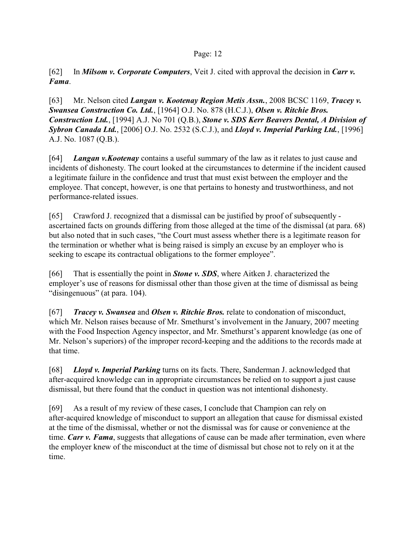[62] In *Milsom v. Corporate Computers*, Veit J. cited with approval the decision in *Carr v. Fama*.

[63] Mr. Nelson cited *Langan v. Kootenay Region Metis Assn.*, 2008 BCSC 1169, *Tracey v. Swansea Construction Co. Ltd.*, [1964] O.J. No. 878 (H.C.J.), *Olsen v. Ritchie Bros. Construction Ltd.*, [1994] A.J. No 701 (Q.B.), *Stone v. SDS Kerr Beavers Dental, A Division of Sybron Canada Ltd.*, [2006] O.J. No. 2532 (S.C.J.), and *Lloyd v. Imperial Parking Ltd.*, [1996] A.J. No. 1087 (Q.B.).

[64] *Langan v.Kootenay* contains a useful summary of the law as it relates to just cause and incidents of dishonesty. The court looked at the circumstances to determine if the incident caused a legitimate failure in the confidence and trust that must exist between the employer and the employee. That concept, however, is one that pertains to honesty and trustworthiness, and not performance-related issues.

[65] Crawford J. recognized that a dismissal can be justified by proof of subsequently ascertained facts on grounds differing from those alleged at the time of the dismissal (at para. 68) but also noted that in such cases, "the Court must assess whether there is a legitimate reason for the termination or whether what is being raised is simply an excuse by an employer who is seeking to escape its contractual obligations to the former employee".

[66] That is essentially the point in *Stone v. SDS*, where Aitken J. characterized the employer's use of reasons for dismissal other than those given at the time of dismissal as being "disingenuous" (at para. 104).

[67] *Tracey v. Swansea* and *Olsen v. Ritchie Bros.* relate to condonation of misconduct, which Mr. Nelson raises because of Mr. Smethurst's involvement in the January, 2007 meeting with the Food Inspection Agency inspector, and Mr. Smethurst's apparent knowledge (as one of Mr. Nelson's superiors) of the improper record-keeping and the additions to the records made at that time.

[68] *Lloyd v. Imperial Parking* turns on its facts. There, Sanderman J. acknowledged that after-acquired knowledge can in appropriate circumstances be relied on to support a just cause dismissal, but there found that the conduct in question was not intentional dishonesty.

[69] As a result of my review of these cases, I conclude that Champion can rely on after-acquired knowledge of misconduct to support an allegation that cause for dismissal existed at the time of the dismissal, whether or not the dismissal was for cause or convenience at the time. *Carr v. Fama*, suggests that allegations of cause can be made after termination, even where the employer knew of the misconduct at the time of dismissal but chose not to rely on it at the time.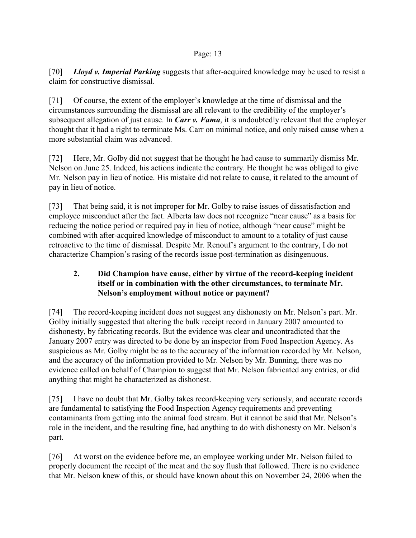[70] *Lloyd v. Imperial Parking* suggests that after-acquired knowledge may be used to resist a claim for constructive dismissal.

[71] Of course, the extent of the employer's knowledge at the time of dismissal and the circumstances surrounding the dismissal are all relevant to the credibility of the employer's subsequent allegation of just cause. In *Carr v. Fama*, it is undoubtedly relevant that the employer thought that it had a right to terminate Ms. Carr on minimal notice, and only raised cause when a more substantial claim was advanced.

[72] Here, Mr. Golby did not suggest that he thought he had cause to summarily dismiss Mr. Nelson on June 25. Indeed, his actions indicate the contrary. He thought he was obliged to give Mr. Nelson pay in lieu of notice. His mistake did not relate to cause, it related to the amount of pay in lieu of notice.

[73] That being said, it is not improper for Mr. Golby to raise issues of dissatisfaction and employee misconduct after the fact. Alberta law does not recognize "near cause" as a basis for reducing the notice period or required pay in lieu of notice, although "near cause" might be combined with after-acquired knowledge of misconduct to amount to a totality of just cause retroactive to the time of dismissal. Despite Mr. Renouf's argument to the contrary, I do not characterize Champion's rasing of the records issue post-termination as disingenuous.

# **2. Did Champion have cause, either by virtue of the record-keeping incident itself or in combination with the other circumstances, to terminate Mr. Nelson's employment without notice or payment?**

[74] The record-keeping incident does not suggest any dishonesty on Mr. Nelson's part. Mr. Golby initially suggested that altering the bulk receipt record in January 2007 amounted to dishonesty, by fabricating records. But the evidence was clear and uncontradicted that the January 2007 entry was directed to be done by an inspector from Food Inspection Agency. As suspicious as Mr. Golby might be as to the accuracy of the information recorded by Mr. Nelson, and the accuracy of the information provided to Mr. Nelson by Mr. Bunning, there was no evidence called on behalf of Champion to suggest that Mr. Nelson fabricated any entries, or did anything that might be characterized as dishonest.

[75] I have no doubt that Mr. Golby takes record-keeping very seriously, and accurate records are fundamental to satisfying the Food Inspection Agency requirements and preventing contaminants from getting into the animal food stream. But it cannot be said that Mr. Nelson's role in the incident, and the resulting fine, had anything to do with dishonesty on Mr. Nelson's part.

[76] At worst on the evidence before me, an employee working under Mr. Nelson failed to properly document the receipt of the meat and the soy flush that followed. There is no evidence that Mr. Nelson knew of this, or should have known about this on November 24, 2006 when the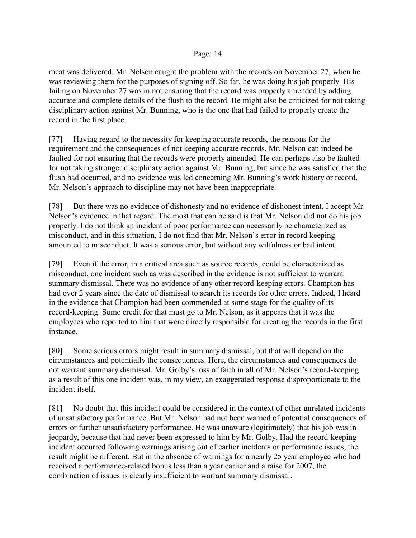meat was delivered. Mr. Nelson caught the problem with the records on November 27, when he was reviewing them for the purposes of signing off. So far, he was doing his job properly. His failing on November 27 was in not ensuring that the record was properly amended by adding accurate and complete details of the flush to the record. He might also be criticized for not taking disciplinary action against Mr. Bunning, who is the one that had failed to properly create the record in the first place.

[77] Having regard to the necessity for keeping accurate records, the reasons for the requirement and the consequences of not keeping accurate records, Mr. Nelson can indeed be faulted for not ensuring that the records were properly amended. He can perhaps also be faulted for not taking stronger disciplinary action against Mr. Bunning, but since he was satisfied that the flush had occurred, and no evidence was led concerning Mr. Bunning's work history or record, Mr. Nelson's approach to discipline may not have been inappropriate.

[78] But there was no evidence of dishonesty and no evidence of dishonest intent. I accept Mr. Nelson's evidence in that regard. The most that can be said is that Mr. Nelson did not do his job properly. I do not think an incident of poor performance can necessarily be characterized as misconduct, and in this situation, I do not find that Mr. Nelson's error in record keeping amounted to misconduct. It was a serious error, but without any wilfulness or bad intent.

[79] Even if the error, in a critical area such as source records, could be characterized as misconduct, one incident such as was described in the evidence is not sufficient to warrant summary dismissal. There was no evidence of any other record-keeping errors. Champion has had over 2 years since the date of dismissal to search its records for other errors. Indeed, I heard in the evidence that Champion had been commended at some stage for the quality of its record-keeping. Some credit for that must go to Mr. Nelson, as it appears that it was the employees who reported to him that were directly responsible for creating the records in the first instance.

[80] Some serious errors might result in summary dismissal, but that will depend on the circumstances and potentially the consequences. Here, the circumstances and consequences do not warrant summary dismissal. Mr. Golby's loss of faith in all of Mr. Nelson's record-keeping as a result of this one incident was, in my view, an exaggerated response disproportionate to the incident itself.

[81] No doubt that this incident could be considered in the context of other unrelated incidents of unsatisfactory performance. But Mr. Nelson had not been warned of potential consequences of errors or further unsatisfactory performance. He was unaware (legitimately) that his job was in jeopardy, because that had never been expressed to him by Mr. Golby. Had the record-keeping incident occurred following warnings arising out of earlier incidents or performance issues, the result might be different. But in the absence of warnings for a nearly 25 year employee who had received a performance-related bonus less than a year earlier and a raise for 2007, the combination of issues is clearly insufficient to warrant summary dismissal.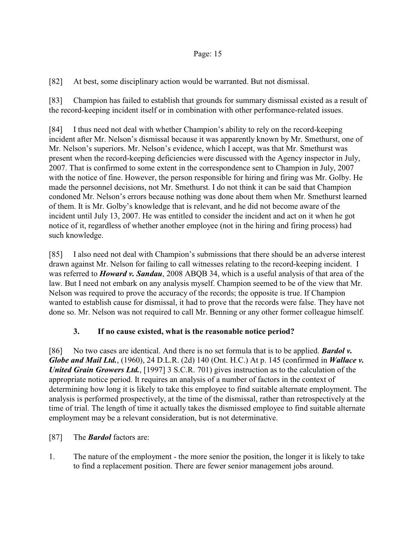[82] At best, some disciplinary action would be warranted. But not dismissal.

[83] Champion has failed to establish that grounds for summary dismissal existed as a result of the record-keeping incident itself or in combination with other performance-related issues.

[84] I thus need not deal with whether Champion's ability to rely on the record-keeping incident after Mr. Nelson's dismissal because it was apparently known by Mr. Smethurst, one of Mr. Nelson's superiors. Mr. Nelson's evidence, which I accept, was that Mr. Smethurst was present when the record-keeping deficiencies were discussed with the Agency inspector in July, 2007. That is confirmed to some extent in the correspondence sent to Champion in July, 2007 with the notice of fine. However, the person responsible for hiring and firing was Mr. Golby. He made the personnel decisions, not Mr. Smethurst. I do not think it can be said that Champion condoned Mr. Nelson's errors because nothing was done about them when Mr. Smethurst learned of them. It is Mr. Golby's knowledge that is relevant, and he did not become aware of the incident until July 13, 2007. He was entitled to consider the incident and act on it when he got notice of it, regardless of whether another employee (not in the hiring and firing process) had such knowledge.

[85] I also need not deal with Champion's submissions that there should be an adverse interest drawn against Mr. Nelson for failing to call witnesses relating to the record-keeping incident. I was referred to *Howard v. Sandau*, 2008 ABQB 34, which is a useful analysis of that area of the law. But I need not embark on any analysis myself. Champion seemed to be of the view that Mr. Nelson was required to prove the accuracy of the records; the opposite is true. If Champion wanted to establish cause for dismissal, it had to prove that the records were false. They have not done so. Mr. Nelson was not required to call Mr. Benning or any other former colleague himself.

# **3. If no cause existed, what is the reasonable notice period?**

[86] No two cases are identical. And there is no set formula that is to be applied. *Bardol v. Globe and Mail Ltd.*, (1960), 24 D.L.R. (2d) 140 (Ont. H.C.) At p. 145 (confirmed in *Wallace v. United Grain Growers Ltd.*, [1997] 3 S.C.R. 701) gives instruction as to the calculation of the appropriate notice period. It requires an analysis of a number of factors in the context of determining how long it is likely to take this employee to find suitable alternate employment. The analysis is performed prospectively, at the time of the dismissal, rather than retrospectively at the time of trial. The length of time it actually takes the dismissed employee to find suitable alternate employment may be a relevant consideration, but is not determinative.

# [87] The *Bardol* factors are:

1. The nature of the employment - the more senior the position, the longer it is likely to take to find a replacement position. There are fewer senior management jobs around.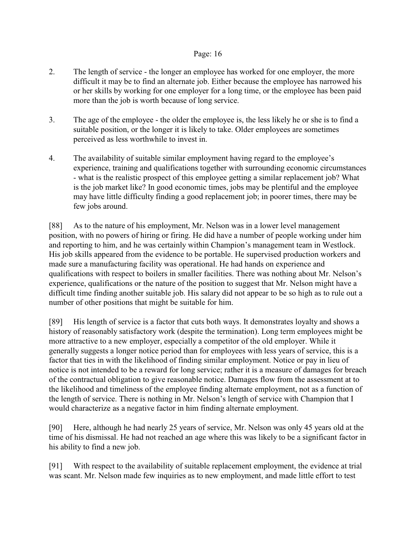- 2. The length of service the longer an employee has worked for one employer, the more difficult it may be to find an alternate job. Either because the employee has narrowed his or her skills by working for one employer for a long time, or the employee has been paid more than the job is worth because of long service.
- 3. The age of the employee the older the employee is, the less likely he or she is to find a suitable position, or the longer it is likely to take. Older employees are sometimes perceived as less worthwhile to invest in.
- 4. The availability of suitable similar employment having regard to the employee's experience, training and qualifications together with surrounding economic circumstances - what is the realistic prospect of this employee getting a similar replacement job? What is the job market like? In good economic times, jobs may be plentiful and the employee may have little difficulty finding a good replacement job; in poorer times, there may be few jobs around.

[88] As to the nature of his employment, Mr. Nelson was in a lower level management position, with no powers of hiring or firing. He did have a number of people working under him and reporting to him, and he was certainly within Champion's management team in Westlock. His job skills appeared from the evidence to be portable. He supervised production workers and made sure a manufacturing facility was operational. He had hands on experience and qualifications with respect to boilers in smaller facilities. There was nothing about Mr. Nelson's experience, qualifications or the nature of the position to suggest that Mr. Nelson might have a difficult time finding another suitable job. His salary did not appear to be so high as to rule out a number of other positions that might be suitable for him.

[89] His length of service is a factor that cuts both ways. It demonstrates loyalty and shows a history of reasonably satisfactory work (despite the termination). Long term employees might be more attractive to a new employer, especially a competitor of the old employer. While it generally suggests a longer notice period than for employees with less years of service, this is a factor that ties in with the likelihood of finding similar employment. Notice or pay in lieu of notice is not intended to be a reward for long service; rather it is a measure of damages for breach of the contractual obligation to give reasonable notice. Damages flow from the assessment at to the likelihood and timeliness of the employee finding alternate employment, not as a function of the length of service. There is nothing in Mr. Nelson's length of service with Champion that I would characterize as a negative factor in him finding alternate employment.

[90] Here, although he had nearly 25 years of service, Mr. Nelson was only 45 years old at the time of his dismissal. He had not reached an age where this was likely to be a significant factor in his ability to find a new job.

[91] With respect to the availability of suitable replacement employment, the evidence at trial was scant. Mr. Nelson made few inquiries as to new employment, and made little effort to test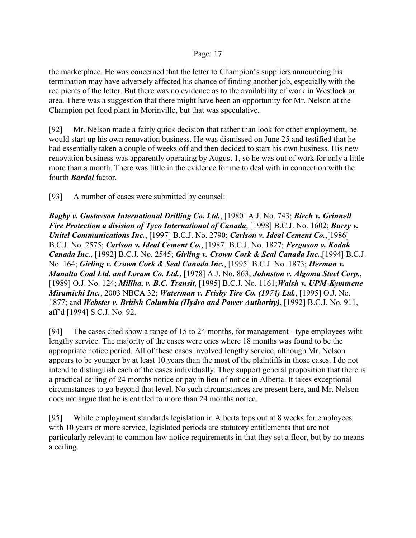the marketplace. He was concerned that the letter to Champion's suppliers announcing his termination may have adversely affected his chance of finding another job, especially with the recipients of the letter. But there was no evidence as to the availability of work in Westlock or area. There was a suggestion that there might have been an opportunity for Mr. Nelson at the Champion pet food plant in Morinville, but that was speculative.

[92] Mr. Nelson made a fairly quick decision that rather than look for other employment, he would start up his own renovation business. He was dismissed on June 25 and testified that he had essentially taken a couple of weeks off and then decided to start his own business. His new renovation business was apparently operating by August 1, so he was out of work for only a little more than a month. There was little in the evidence for me to deal with in connection with the fourth *Bardol* factor.

[93] A number of cases were submitted by counsel:

*Bagby v. Gustavson International Drilling Co. Ltd.*, [1980] A.J. No. 743; *Birch v. Grinnell Fire Protection a division of Tyco International of Canada*, [1998] B.C.J. No. 1602; *Burry v. Unitel Communications Inc.*, [1997] B.C.J. No. 2790; *Carlson v. Ideal Cement Co.*,[1986] B.C.J. No. 2575; *Carlson v. Ideal Cement Co.*, [1987] B.C.J. No. 1827; *Ferguson v. Kodak Canada Inc.*, [1992] B.C.J. No. 2545; *Girling v. Crown Cork & Seal Canada Inc.*,[1994] B.C.J. No. 164; *Girling v. Crown Cork & Seal Canada Inc.*, [1995] B.C.J. No. 1873; *Herman v. Manalta Coal Ltd. and Loram Co. Ltd.*, [1978] A.J. No. 863; *Johnston v. Algoma Steel Corp.*, [1989] O.J. No. 124; *Millha, v. B.C. Transit*, [1995] B.C.J. No. 1161;*Walsh v. UPM-Kymmene Miramichi Inc.*, 2003 NBCA 32; *Waterman v. Frisby Tire Co. (1974) Ltd.*, [1995] O.J. No. 1877; and *Webster v. British Columbia (Hydro and Power Authority)*, [1992] B.C.J. No. 911, aff'd [1994] S.C.J. No. 92.

[94] The cases cited show a range of 15 to 24 months, for management - type employees wiht lengthy service. The majority of the cases were ones where 18 months was found to be the appropriate notice period. All of these cases involved lengthy service, although Mr. Nelson appears to be younger by at least 10 years than the most of the plaintiffs in those cases. I do not intend to distinguish each of the cases individually. They support general proposition that there is a practical ceiling of 24 months notice or pay in lieu of notice in Alberta. It takes exceptional circumstances to go beyond that level. No such circumstances are present here, and Mr. Nelson does not argue that he is entitled to more than 24 months notice.

[95] While employment standards legislation in Alberta tops out at 8 weeks for employees with 10 years or more service, legislated periods are statutory entitlements that are not particularly relevant to common law notice requirements in that they set a floor, but by no means a ceiling.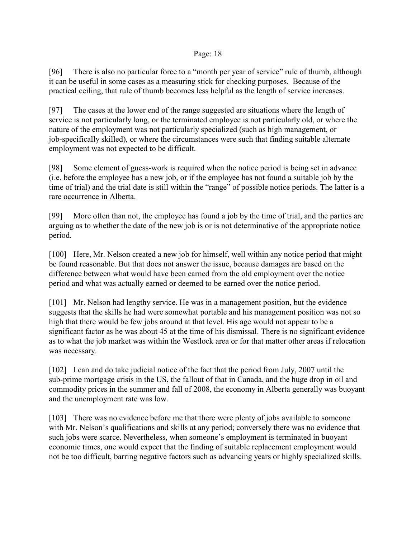[96] There is also no particular force to a "month per year of service" rule of thumb, although it can be useful in some cases as a measuring stick for checking purposes. Because of the practical ceiling, that rule of thumb becomes less helpful as the length of service increases.

[97] The cases at the lower end of the range suggested are situations where the length of service is not particularly long, or the terminated employee is not particularly old, or where the nature of the employment was not particularly specialized (such as high management, or job-specifically skilled), or where the circumstances were such that finding suitable alternate employment was not expected to be difficult.

[98] Some element of guess-work is required when the notice period is being set in advance (i.e. before the employee has a new job, or if the employee has not found a suitable job by the time of trial) and the trial date is still within the "range" of possible notice periods. The latter is a rare occurrence in Alberta.

[99] More often than not, the employee has found a job by the time of trial, and the parties are arguing as to whether the date of the new job is or is not determinative of the appropriate notice period.

[100] Here, Mr. Nelson created a new job for himself, well within any notice period that might be found reasonable. But that does not answer the issue, because damages are based on the difference between what would have been earned from the old employment over the notice period and what was actually earned or deemed to be earned over the notice period.

[101] Mr. Nelson had lengthy service. He was in a management position, but the evidence suggests that the skills he had were somewhat portable and his management position was not so high that there would be few jobs around at that level. His age would not appear to be a significant factor as he was about 45 at the time of his dismissal. There is no significant evidence as to what the job market was within the Westlock area or for that matter other areas if relocation was necessary.

[102] I can and do take judicial notice of the fact that the period from July, 2007 until the sub-prime mortgage crisis in the US, the fallout of that in Canada, and the huge drop in oil and commodity prices in the summer and fall of 2008, the economy in Alberta generally was buoyant and the unemployment rate was low.

[103] There was no evidence before me that there were plenty of jobs available to someone with Mr. Nelson's qualifications and skills at any period; conversely there was no evidence that such jobs were scarce. Nevertheless, when someone's employment is terminated in buoyant economic times, one would expect that the finding of suitable replacement employment would not be too difficult, barring negative factors such as advancing years or highly specialized skills.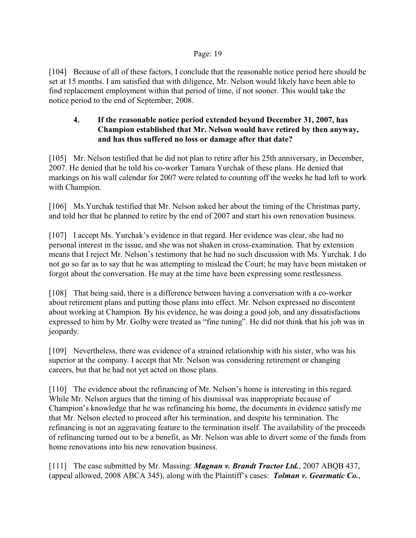[104] Because of all of these factors, I conclude that the reasonable notice period here should be set at 15 months. I am satisfied that with diligence, Mr. Nelson would likely have been able to find replacement employment within that period of time, if not sooner. This would take the notice period to the end of September, 2008.

# **4. If the reasonable notice period extended beyond December 31, 2007, has Champion established that Mr. Nelson would have retired by then anyway, and has thus suffered no loss or damage after that date?**

[105] Mr. Nelson testified that he did not plan to retire after his 25th anniversary, in December, 2007. He denied that he told his co-worker Tamara Yurchak of these plans. He denied that markings on his wall calendar for 2007 were related to counting off the weeks he had left to work with Champion.

[106] Ms.Yurchak testified that Mr. Nelson asked her about the timing of the Christmas party, and told her that he planned to retire by the end of 2007 and start his own renovation business.

[107] I accept Ms. Yurchak's evidence in that regard. Her evidence was clear, she had no personal interest in the issue, and she was not shaken in cross-examination. That by extension means that I reject Mr. Nelson's testimony that he had no such discussion with Ms. Yurchak. I do not go so far as to say that he was attempting to mislead the Court; he may have been mistaken or forgot about the conversation. He may at the time have been expressing some restlessness.

[108] That being said, there is a difference between having a conversation with a co-worker about retirement plans and putting those plans into effect. Mr. Nelson expressed no discontent about working at Champion. By his evidence, he was doing a good job, and any dissatisfactions expressed to him by Mr. Golby were treated as "fine tuning". He did not think that his job was in jeopardy.

[109] Nevertheless, there was evidence of a strained relationship with his sister, who was his superior at the company. I accept that Mr. Nelson was considering retirement or changing careers, but that he had not yet acted on those plans.

[110] The evidence about the refinancing of Mr. Nelson's home is interesting in this regard. While Mr. Nelson argues that the timing of his dismissal was inappropriate because of Champion's knowledge that he was refinancing his home, the documents in evidence satisfy me that Mr. Nelson elected to proceed after his termination, and despite his termination. The refinancing is not an aggravating feature to the termination itself. The availability of the proceeds of refinancing turned out to be a benefit, as Mr. Nelson was able to divert some of the funds from home renovations into his new renovation business.

[111] The case submitted by Mr. Massing: *Magnan v. Brandt Tractor Ltd.*, 2007 ABQB 437, (appeal allowed, 2008 ABCA 345), along with the Plaintiff's cases: *Tolman v. Gearmatic Co.*,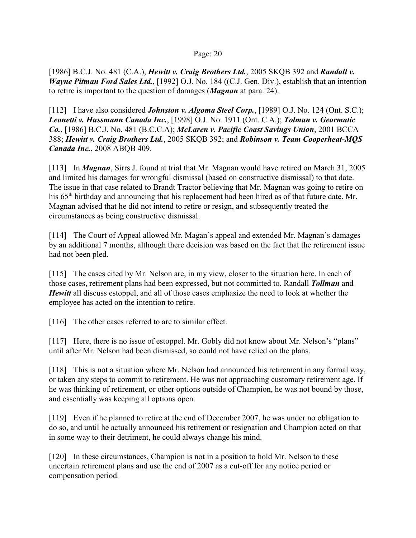[1986] B.C.J. No. 481 (C.A.), *Hewitt v. Craig Brothers Ltd.*, 2005 SKQB 392 and *Randall v. Wayne Pitman Ford Sales Ltd.*, [1992] O.J. No. 184 ((C.J. Gen. Div.), establish that an intention to retire is important to the question of damages (*Magnan* at para. 24).

[112] I have also considered *Johnston v. Algoma Steel Corp.*, [1989] O.J. No. 124 (Ont. S.C.); *Leonetti v. Hussmann Canada Inc.*, [1998] O.J. No. 1911 (Ont. C.A.); *Tolman v. Gearmatic Co.*, [1986] B.C.J. No. 481 (B.C.C.A); *McLaren v. Pacific Coast Savings Union*, 2001 BCCA 388; *Hewitt v. Craig Brothers Ltd.*, 2005 SKQB 392; and *Robinson v. Team Cooperheat-MQS Canada Inc.*, 2008 ABQB 409.

[113] In *Magnan*, Sirrs J. found at trial that Mr. Magnan would have retired on March 31, 2005 and limited his damages for wrongful dismissal (based on constructive dismissal) to that date. The issue in that case related to Brandt Tractor believing that Mr. Magnan was going to retire on his  $65<sup>th</sup>$  birthday and announcing that his replacement had been hired as of that future date. Mr. Magnan advised that he did not intend to retire or resign, and subsequently treated the circumstances as being constructive dismissal.

[114] The Court of Appeal allowed Mr. Magan's appeal and extended Mr. Magnan's damages by an additional 7 months, although there decision was based on the fact that the retirement issue had not been pled.

[115] The cases cited by Mr. Nelson are, in my view, closer to the situation here. In each of those cases, retirement plans had been expressed, but not committed to. Randall *Tollman* and *Hewitt* all discuss estoppel, and all of those cases emphasize the need to look at whether the employee has acted on the intention to retire.

[116] The other cases referred to are to similar effect.

[117] Here, there is no issue of estoppel. Mr. Gobly did not know about Mr. Nelson's "plans" until after Mr. Nelson had been dismissed, so could not have relied on the plans.

[118] This is not a situation where Mr. Nelson had announced his retirement in any formal way, or taken any steps to commit to retirement. He was not approaching customary retirement age. If he was thinking of retirement, or other options outside of Champion, he was not bound by those, and essentially was keeping all options open.

[119] Even if he planned to retire at the end of December 2007, he was under no obligation to do so, and until he actually announced his retirement or resignation and Champion acted on that in some way to their detriment, he could always change his mind.

[120] In these circumstances, Champion is not in a position to hold Mr. Nelson to these uncertain retirement plans and use the end of 2007 as a cut-off for any notice period or compensation period.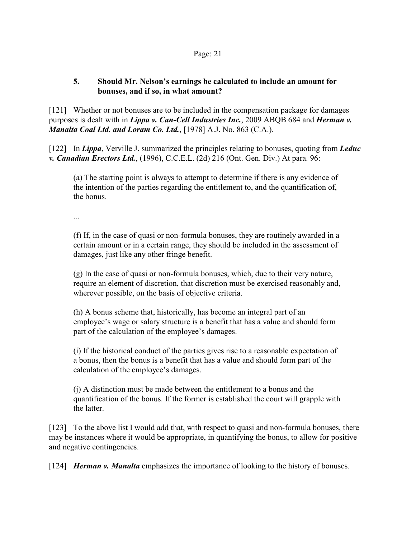# **5. Should Mr. Nelson's earnings be calculated to include an amount for bonuses, and if so, in what amount?**

[121] Whether or not bonuses are to be included in the compensation package for damages purposes is dealt with in *Lippa v. Can-Cell Industries Inc.*, 2009 ABQB 684 and *Herman v. Manalta Coal Ltd. and Loram Co. Ltd.*, [1978] A.J. No. 863 (C.A.).

[122] In *Lippa*, Verville J. summarized the principles relating to bonuses, quoting from *Leduc v. Canadian Erectors Ltd.*, (1996), C.C.E.L. (2d) 216 (Ont. Gen. Div.) At para. 96:

(a) The starting point is always to attempt to determine if there is any evidence of the intention of the parties regarding the entitlement to, and the quantification of, the bonus.

...

(f) If, in the case of quasi or non-formula bonuses, they are routinely awarded in a certain amount or in a certain range, they should be included in the assessment of damages, just like any other fringe benefit.

(g) In the case of quasi or non-formula bonuses, which, due to their very nature, require an element of discretion, that discretion must be exercised reasonably and, wherever possible, on the basis of objective criteria.

(h) A bonus scheme that, historically, has become an integral part of an employee's wage or salary structure is a benefit that has a value and should form part of the calculation of the employee's damages.

(i) If the historical conduct of the parties gives rise to a reasonable expectation of a bonus, then the bonus is a benefit that has a value and should form part of the calculation of the employee's damages.

(j) A distinction must be made between the entitlement to a bonus and the quantification of the bonus. If the former is established the court will grapple with the latter.

[123] To the above list I would add that, with respect to quasi and non-formula bonuses, there may be instances where it would be appropriate, in quantifying the bonus, to allow for positive and negative contingencies.

[124] *Herman v. Manalta* emphasizes the importance of looking to the history of bonuses.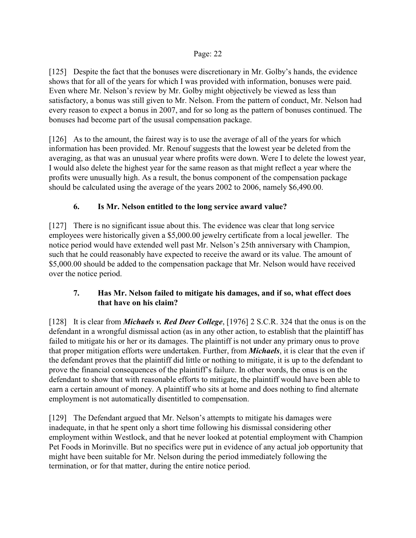[125] Despite the fact that the bonuses were discretionary in Mr. Golby's hands, the evidence shows that for all of the years for which I was provided with information, bonuses were paid. Even where Mr. Nelson's review by Mr. Golby might objectively be viewed as less than satisfactory, a bonus was still given to Mr. Nelson. From the pattern of conduct, Mr. Nelson had every reason to expect a bonus in 2007, and for so long as the pattern of bonuses continued. The bonuses had become part of the ususal compensation package.

[126] As to the amount, the fairest way is to use the average of all of the years for which information has been provided. Mr. Renouf suggests that the lowest year be deleted from the averaging, as that was an unusual year where profits were down. Were I to delete the lowest year, I would also delete the highest year for the same reason as that might reflect a year where the profits were unusually high. As a result, the bonus component of the compensation package should be calculated using the average of the years 2002 to 2006, namely \$6,490.00.

# **6. Is Mr. Nelson entitled to the long service award value?**

[127] There is no significant issue about this. The evidence was clear that long service employees were historically given a \$5,000.00 jewelry certificate from a local jeweller. The notice period would have extended well past Mr. Nelson's 25th anniversary with Champion, such that he could reasonably have expected to receive the award or its value. The amount of \$5,000.00 should be added to the compensation package that Mr. Nelson would have received over the notice period.

# **7. Has Mr. Nelson failed to mitigate his damages, and if so, what effect does that have on his claim?**

[128] It is clear from *Michaels v. Red Deer College*, [1976] 2 S.C.R. 324 that the onus is on the defendant in a wrongful dismissal action (as in any other action, to establish that the plaintiff has failed to mitigate his or her or its damages. The plaintiff is not under any primary onus to prove that proper mitigation efforts were undertaken. Further, from *Michaels*, it is clear that the even if the defendant proves that the plaintiff did little or nothing to mitigate, it is up to the defendant to prove the financial consequences of the plaintiff's failure. In other words, the onus is on the defendant to show that with reasonable efforts to mitigate, the plaintiff would have been able to earn a certain amount of money. A plaintiff who sits at home and does nothing to find alternate employment is not automatically disentitled to compensation.

[129] The Defendant argued that Mr. Nelson's attempts to mitigate his damages were inadequate, in that he spent only a short time following his dismissal considering other employment within Westlock, and that he never looked at potential employment with Champion Pet Foods in Morinville. But no specifics were put in evidence of any actual job opportunity that might have been suitable for Mr. Nelson during the period immediately following the termination, or for that matter, during the entire notice period.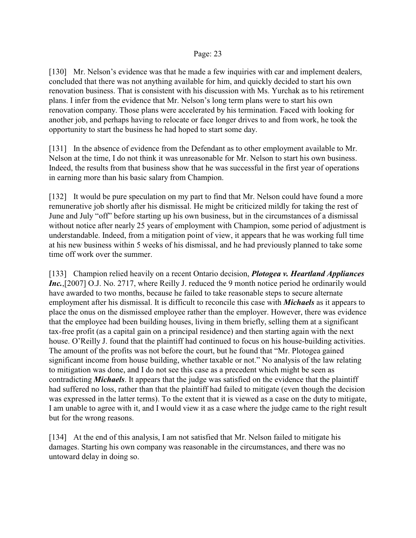[130] Mr. Nelson's evidence was that he made a few inquiries with car and implement dealers, concluded that there was not anything available for him, and quickly decided to start his own renovation business. That is consistent with his discussion with Ms. Yurchak as to his retirement plans. I infer from the evidence that Mr. Nelson's long term plans were to start his own renovation company. Those plans were accelerated by his termination. Faced with looking for another job, and perhaps having to relocate or face longer drives to and from work, he took the opportunity to start the business he had hoped to start some day.

[131] In the absence of evidence from the Defendant as to other employment available to Mr. Nelson at the time, I do not think it was unreasonable for Mr. Nelson to start his own business. Indeed, the results from that business show that he was successful in the first year of operations in earning more than his basic salary from Champion.

[132] It would be pure speculation on my part to find that Mr. Nelson could have found a more remunerative job shortly after his dismissal. He might be criticized mildly for taking the rest of June and July "off" before starting up his own business, but in the circumstances of a dismissal without notice after nearly 25 years of employment with Champion, some period of adjustment is understandable. Indeed, from a mitigation point of view, it appears that he was working full time at his new business within 5 weeks of his dismissal, and he had previously planned to take some time off work over the summer.

[133] Champion relied heavily on a recent Ontario decision, *Plotogea v. Heartland Appliances Inc.*, [2007] O.J. No. 2717, where Reilly J. reduced the 9 month notice period he ordinarily would have awarded to two months, because he failed to take reasonable steps to secure alternate employment after his dismissal. It is difficult to reconcile this case with *Michaels* as it appears to place the onus on the dismissed employee rather than the employer. However, there was evidence that the employee had been building houses, living in them briefly, selling them at a significant tax-free profit (as a capital gain on a principal residence) and then starting again with the next house. O'Reilly J. found that the plaintiff had continued to focus on his house-building activities. The amount of the profits was not before the court, but he found that "Mr. Plotogea gained significant income from house building, whether taxable or not." No analysis of the law relating to mitigation was done, and I do not see this case as a precedent which might be seen as contradicting *Michaels*. It appears that the judge was satisfied on the evidence that the plaintiff had suffered no loss, rather than that the plaintiff had failed to mitigate (even though the decision was expressed in the latter terms). To the extent that it is viewed as a case on the duty to mitigate, I am unable to agree with it, and I would view it as a case where the judge came to the right result but for the wrong reasons.

[134] At the end of this analysis, I am not satisfied that Mr. Nelson failed to mitigate his damages. Starting his own company was reasonable in the circumstances, and there was no untoward delay in doing so.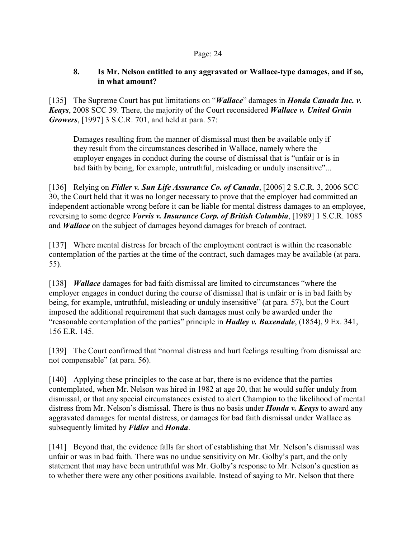# **8. Is Mr. Nelson entitled to any aggravated or Wallace-type damages, and if so, in what amount?**

[135] The Supreme Court has put limitations on "*Wallace*" damages in *Honda Canada Inc. v. Keays*, 2008 SCC 39. There, the majority of the Court reconsidered *Wallace v. United Grain Growers*, [1997] 3 S.C.R. 701, and held at para. 57:

Damages resulting from the manner of dismissal must then be available only if they result from the circumstances described in Wallace, namely where the employer engages in conduct during the course of dismissal that is "unfair or is in bad faith by being, for example, untruthful, misleading or unduly insensitive"...

[136] Relying on *Fidler v. Sun Life Assurance Co. of Canada*, [2006] 2 S.C.R. 3, 2006 SCC 30, the Court held that it was no longer necessary to prove that the employer had committed an independent actionable wrong before it can be liable for mental distress damages to an employee, reversing to some degree *Vorvis v. Insurance Corp. of British Columbia*, [1989] 1 S.C.R. 1085 and *Wallace* on the subject of damages beyond damages for breach of contract.

[137] Where mental distress for breach of the employment contract is within the reasonable contemplation of the parties at the time of the contract, such damages may be available (at para. 55).

[138] *Wallace* damages for bad faith dismissal are limited to circumstances "where the employer engages in conduct during the course of dismissal that is unfair or is in bad faith by being, for example, untruthful, misleading or unduly insensitive" (at para. 57), but the Court imposed the additional requirement that such damages must only be awarded under the "reasonable contemplation of the parties" principle in *Hadley v. Baxendale*, (1854), 9 Ex. 341, 156 E.R. 145.

[139] The Court confirmed that "normal distress and hurt feelings resulting from dismissal are not compensable" (at para. 56).

[140] Applying these principles to the case at bar, there is no evidence that the parties contemplated, when Mr. Nelson was hired in 1982 at age 20, that he would suffer unduly from dismissal, or that any special circumstances existed to alert Champion to the likelihood of mental distress from Mr. Nelson's dismissal. There is thus no basis under *Honda v. Keays* to award any aggravated damages for mental distress, or damages for bad faith dismissal under Wallace as subsequently limited by *Fidler* and *Honda*.

[141] Beyond that, the evidence falls far short of establishing that Mr. Nelson's dismissal was unfair or was in bad faith. There was no undue sensitivity on Mr. Golby's part, and the only statement that may have been untruthful was Mr. Golby's response to Mr. Nelson's question as to whether there were any other positions available. Instead of saying to Mr. Nelson that there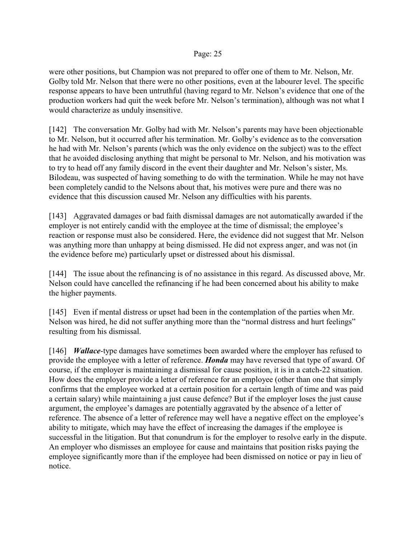were other positions, but Champion was not prepared to offer one of them to Mr. Nelson, Mr. Golby told Mr. Nelson that there were no other positions, even at the labourer level. The specific response appears to have been untruthful (having regard to Mr. Nelson's evidence that one of the production workers had quit the week before Mr. Nelson's termination), although was not what I would characterize as unduly insensitive.

[142] The conversation Mr. Golby had with Mr. Nelson's parents may have been objectionable to Mr. Nelson, but it occurred after his termination. Mr. Golby's evidence as to the conversation he had with Mr. Nelson's parents (which was the only evidence on the subject) was to the effect that he avoided disclosing anything that might be personal to Mr. Nelson, and his motivation was to try to head off any family discord in the event their daughter and Mr. Nelson's sister, Ms. Bilodeau, was suspected of having something to do with the termination. While he may not have been completely candid to the Nelsons about that, his motives were pure and there was no evidence that this discussion caused Mr. Nelson any difficulties with his parents.

[143] Aggravated damages or bad faith dismissal damages are not automatically awarded if the employer is not entirely candid with the employee at the time of dismissal; the employee's reaction or response must also be considered. Here, the evidence did not suggest that Mr. Nelson was anything more than unhappy at being dismissed. He did not express anger, and was not (in the evidence before me) particularly upset or distressed about his dismissal.

[144] The issue about the refinancing is of no assistance in this regard. As discussed above, Mr. Nelson could have cancelled the refinancing if he had been concerned about his ability to make the higher payments.

[145] Even if mental distress or upset had been in the contemplation of the parties when Mr. Nelson was hired, he did not suffer anything more than the "normal distress and hurt feelings" resulting from his dismissal.

[146] *Wallace*-type damages have sometimes been awarded where the employer has refused to provide the employee with a letter of reference. *Honda* may have reversed that type of award. Of course, if the employer is maintaining a dismissal for cause position, it is in a catch-22 situation. How does the employer provide a letter of reference for an employee (other than one that simply confirms that the employee worked at a certain position for a certain length of time and was paid a certain salary) while maintaining a just cause defence? But if the employer loses the just cause argument, the employee's damages are potentially aggravated by the absence of a letter of reference. The absence of a letter of reference may well have a negative effect on the employee's ability to mitigate, which may have the effect of increasing the damages if the employee is successful in the litigation. But that conundrum is for the employer to resolve early in the dispute. An employer who dismisses an employee for cause and maintains that position risks paying the employee significantly more than if the employee had been dismissed on notice or pay in lieu of notice.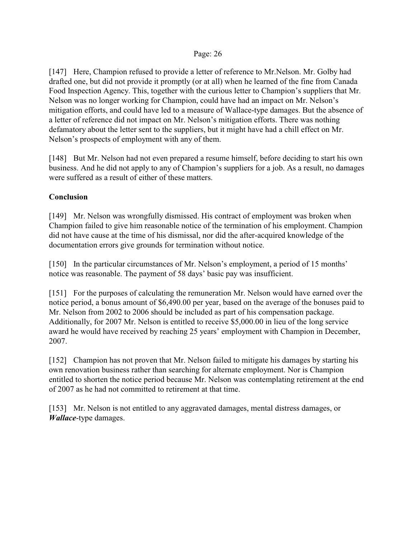[147] Here, Champion refused to provide a letter of reference to Mr.Nelson. Mr. Golby had drafted one, but did not provide it promptly (or at all) when he learned of the fine from Canada Food Inspection Agency. This, together with the curious letter to Champion's suppliers that Mr. Nelson was no longer working for Champion, could have had an impact on Mr. Nelson's mitigation efforts, and could have led to a measure of Wallace-type damages. But the absence of a letter of reference did not impact on Mr. Nelson's mitigation efforts. There was nothing defamatory about the letter sent to the suppliers, but it might have had a chill effect on Mr. Nelson's prospects of employment with any of them.

[148] But Mr. Nelson had not even prepared a resume himself, before deciding to start his own business. And he did not apply to any of Champion's suppliers for a job. As a result, no damages were suffered as a result of either of these matters.

## **Conclusion**

[149] Mr. Nelson was wrongfully dismissed. His contract of employment was broken when Champion failed to give him reasonable notice of the termination of his employment. Champion did not have cause at the time of his dismissal, nor did the after-acquired knowledge of the documentation errors give grounds for termination without notice.

[150] In the particular circumstances of Mr. Nelson's employment, a period of 15 months' notice was reasonable. The payment of 58 days' basic pay was insufficient.

[151] For the purposes of calculating the remuneration Mr. Nelson would have earned over the notice period, a bonus amount of \$6,490.00 per year, based on the average of the bonuses paid to Mr. Nelson from 2002 to 2006 should be included as part of his compensation package. Additionally, for 2007 Mr. Nelson is entitled to receive \$5,000.00 in lieu of the long service award he would have received by reaching 25 years' employment with Champion in December, 2007.

[152] Champion has not proven that Mr. Nelson failed to mitigate his damages by starting his own renovation business rather than searching for alternate employment. Nor is Champion entitled to shorten the notice period because Mr. Nelson was contemplating retirement at the end of 2007 as he had not committed to retirement at that time.

[153] Mr. Nelson is not entitled to any aggravated damages, mental distress damages, or *Wallace*-type damages.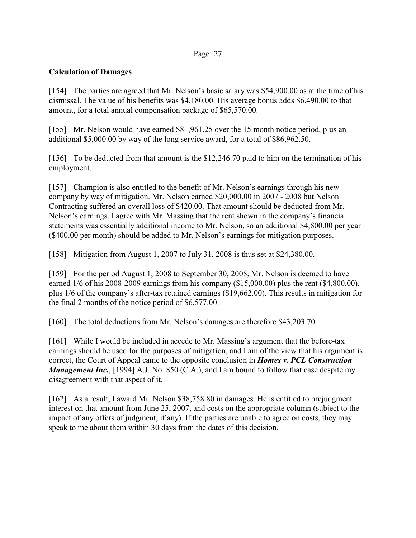# **Calculation of Damages**

[154] The parties are agreed that Mr. Nelson's basic salary was \$54,900.00 as at the time of his dismissal. The value of his benefits was \$4,180.00. His average bonus adds \$6,490.00 to that amount, for a total annual compensation package of \$65,570.00.

[155] Mr. Nelson would have earned \$81,961.25 over the 15 month notice period, plus an additional \$5,000.00 by way of the long service award, for a total of \$86,962.50.

[156] To be deducted from that amount is the \$12,246.70 paid to him on the termination of his employment.

[157] Champion is also entitled to the benefit of Mr. Nelson's earnings through his new company by way of mitigation. Mr. Nelson earned \$20,000.00 in 2007 - 2008 but Nelson Contracting suffered an overall loss of \$420.00. That amount should be deducted from Mr. Nelson's earnings. I agree with Mr. Massing that the rent shown in the company's financial statements was essentially additional income to Mr. Nelson, so an additional \$4,800.00 per year (\$400.00 per month) should be added to Mr. Nelson's earnings for mitigation purposes.

[158] Mitigation from August 1, 2007 to July 31, 2008 is thus set at \$24,380.00.

[159] For the period August 1, 2008 to September 30, 2008, Mr. Nelson is deemed to have earned  $1/6$  of his 2008-2009 earnings from his company (\$15,000.00) plus the rent (\$4,800.00), plus 1/6 of the company's after-tax retained earnings (\$19,662.00). This results in mitigation for the final 2 months of the notice period of \$6,577.00.

[160] The total deductions from Mr. Nelson's damages are therefore \$43,203.70.

[161] While I would be included in accede to Mr. Massing's argument that the before-tax earnings should be used for the purposes of mitigation, and I am of the view that his argument is correct, the Court of Appeal came to the opposite conclusion in *Homes v. PCL Construction Management Inc.*, [1994] A.J. No. 850 (C.A.), and I am bound to follow that case despite my disagreement with that aspect of it.

[162] As a result, I award Mr. Nelson \$38,758.80 in damages. He is entitled to prejudgment interest on that amount from June 25, 2007, and costs on the appropriate column (subject to the impact of any offers of judgment, if any). If the parties are unable to agree on costs, they may speak to me about them within 30 days from the dates of this decision.